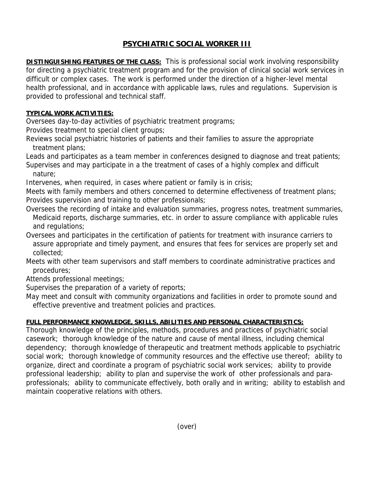## **PSYCHIATRIC SOCIAL WORKER III**

**DISTINGUISHING FEATURES OF THE CLASS:** This is professional social work involving responsibility for directing a psychiatric treatment program and for the provision of clinical social work services in difficult or complex cases. The work is performed under the direction of a higher-level mental health professional, and in accordance with applicable laws, rules and regulations. Supervision is provided to professional and technical staff.

## **TYPICAL WORK ACTIVITIES:**

Oversees day-to-day activities of psychiatric treatment programs;

Provides treatment to special client groups;

Reviews social psychiatric histories of patients and their families to assure the appropriate treatment plans;

Leads and participates as a team member in conferences designed to diagnose and treat patients; Supervises and may participate in a the treatment of cases of a highly complex and difficult nature;

Intervenes, when required, in cases where patient or family is in crisis;

Meets with family members and others concerned to determine effectiveness of treatment plans; Provides supervision and training to other professionals;

- Oversees the recording of intake and evaluation summaries, progress notes, treatment summaries, Medicaid reports, discharge summaries, etc. in order to assure compliance with applicable rules and regulations;
- Oversees and participates in the certification of patients for treatment with insurance carriers to assure appropriate and timely payment, and ensures that fees for services are properly set and collected;

Meets with other team supervisors and staff members to coordinate administrative practices and procedures;

Attends professional meetings;

Supervises the preparation of a variety of reports;

May meet and consult with community organizations and facilities in order to promote sound and effective preventive and treatment policies and practices.

## **FULL PERFORMANCE KNOWLEDGE, SKILLS, ABILITIES AND PERSONAL CHARACTERISTICS:**

Thorough knowledge of the principles, methods, procedures and practices of psychiatric social casework; thorough knowledge of the nature and cause of mental illness, including chemical dependency; thorough knowledge of therapeutic and treatment methods applicable to psychiatric social work; thorough knowledge of community resources and the effective use thereof; ability to organize, direct and coordinate a program of psychiatric social work services; ability to provide professional leadership; ability to plan and supervise the work of other professionals and paraprofessionals; ability to communicate effectively, both orally and in writing; ability to establish and maintain cooperative relations with others.

(over)